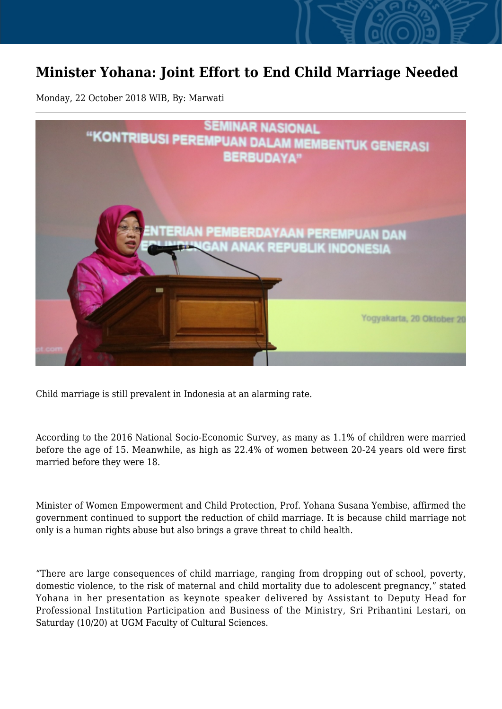## **Minister Yohana: Joint Effort to End Child Marriage Needed**

Monday, 22 October 2018 WIB, By: Marwati



Child marriage is still prevalent in Indonesia at an alarming rate.

According to the 2016 National Socio-Economic Survey, as many as 1.1% of children were married before the age of 15. Meanwhile, as high as 22.4% of women between 20-24 years old were first married before they were 18.

Minister of Women Empowerment and Child Protection, Prof. Yohana Susana Yembise, affirmed the government continued to support the reduction of child marriage. It is because child marriage not only is a human rights abuse but also brings a grave threat to child health.

"There are large consequences of child marriage, ranging from dropping out of school, poverty, domestic violence, to the risk of maternal and child mortality due to adolescent pregnancy," stated Yohana in her presentation as keynote speaker delivered by Assistant to Deputy Head for Professional Institution Participation and Business of the Ministry, Sri Prihantini Lestari, on Saturday (10/20) at UGM Faculty of Cultural Sciences.